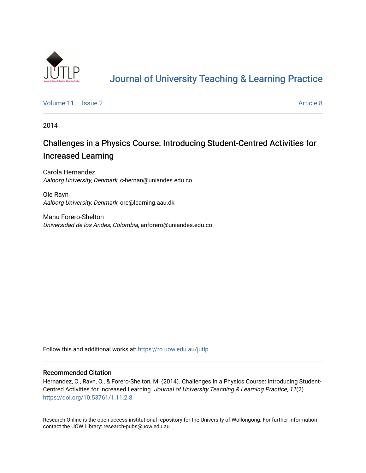

# [Journal of University Teaching & Learning Practice](https://ro.uow.edu.au/jutlp)

[Volume 11](https://ro.uow.edu.au/jutlp/vol11) | [Issue 2](https://ro.uow.edu.au/jutlp/vol11/iss2) Article 8

2014

## Challenges in a Physics Course: Introducing Student-Centred Activities for Increased Learning

Carola Hernandez Aalborg University, Denmark, c-hernan@uniandes.edu.co

Ole Ravn Aalborg University, Denmark, orc@learning.aau.dk

Manu Forero-Shelton Universidad de los Andes, Colombia, anforero@uniandes.edu.co

Follow this and additional works at: [https://ro.uow.edu.au/jutlp](https://ro.uow.edu.au/jutlp?utm_source=ro.uow.edu.au%2Fjutlp%2Fvol11%2Fiss2%2F8&utm_medium=PDF&utm_campaign=PDFCoverPages) 

#### Recommended Citation

Hernandez, C., Ravn, O., & Forero-Shelton, M. (2014). Challenges in a Physics Course: Introducing Student-Centred Activities for Increased Learning. Journal of University Teaching & Learning Practice, 11(2). <https://doi.org/10.53761/1.11.2.8>

Research Online is the open access institutional repository for the University of Wollongong. For further information contact the UOW Library: research-pubs@uow.edu.au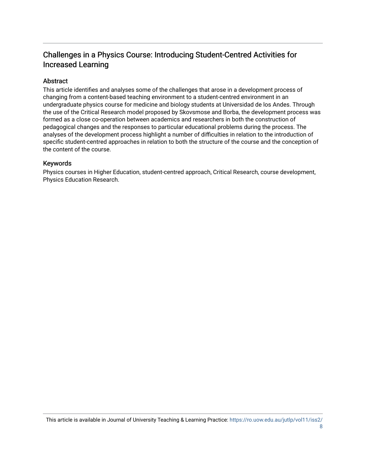### Challenges in a Physics Course: Introducing Student-Centred Activities for Increased Learning

#### Abstract

This article identifies and analyses some of the challenges that arose in a development process of changing from a content-based teaching environment to a student-centred environment in an undergraduate physics course for medicine and biology students at Universidad de los Andes. Through the use of the Critical Research model proposed by Skovsmose and Borba, the development process was formed as a close co-operation between academics and researchers in both the construction of pedagogical changes and the responses to particular educational problems during the process. The analyses of the development process highlight a number of difficulties in relation to the introduction of specific student-centred approaches in relation to both the structure of the course and the conception of the content of the course.

#### Keywords

Physics courses in Higher Education, student-centred approach, Critical Research, course development, Physics Education Research.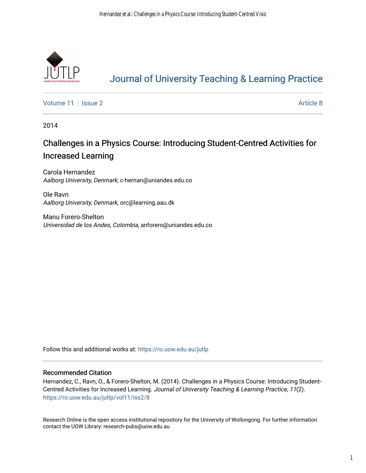

# [Journal of University Teaching & Learning Practice](https://ro.uow.edu.au/jutlp)

[Volume 11](https://ro.uow.edu.au/jutlp/vol11) | [Issue 2](https://ro.uow.edu.au/jutlp/vol11/iss2) Article 8

2014

## Challenges in a Physics Course: Introducing Student-Centred Activities for Increased Learning

Carola Hernandez Aalborg University, Denmark, c-hernan@uniandes.edu.co

Ole Ravn Aalborg University, Denmark, orc@learning.aau.dk

Manu Forero-Shelton Universidad de los Andes, Colombia, anforero@uniandes.edu.co

Follow this and additional works at: [https://ro.uow.edu.au/jutlp](https://ro.uow.edu.au/jutlp?utm_source=ro.uow.edu.au%2Fjutlp%2Fvol11%2Fiss2%2F8&utm_medium=PDF&utm_campaign=PDFCoverPages) 

#### Recommended Citation

Hernandez, C., Ravn, O., & Forero-Shelton, M. (2014). Challenges in a Physics Course: Introducing Student-Centred Activities for Increased Learning. Journal of University Teaching & Learning Practice, 11(2). [https://ro.uow.edu.au/jutlp/vol11/iss2/8](https://ro.uow.edu.au/jutlp/vol11/iss2/8?utm_source=ro.uow.edu.au%2Fjutlp%2Fvol11%2Fiss2%2F8&utm_medium=PDF&utm_campaign=PDFCoverPages) 

Research Online is the open access institutional repository for the University of Wollongong. For further information contact the UOW Library: research-pubs@uow.edu.au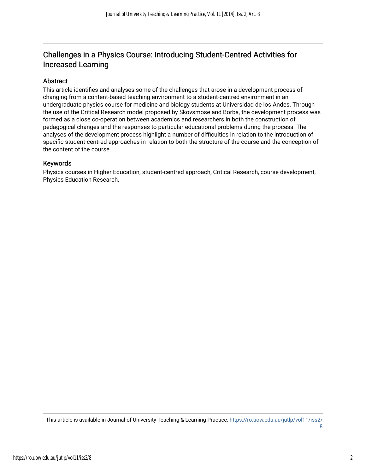### Challenges in a Physics Course: Introducing Student-Centred Activities for Increased Learning

#### Abstract

This article identifies and analyses some of the challenges that arose in a development process of changing from a content-based teaching environment to a student-centred environment in an undergraduate physics course for medicine and biology students at Universidad de los Andes. Through the use of the Critical Research model proposed by Skovsmose and Borba, the development process was formed as a close co-operation between academics and researchers in both the construction of pedagogical changes and the responses to particular educational problems during the process. The analyses of the development process highlight a number of difficulties in relation to the introduction of specific student-centred approaches in relation to both the structure of the course and the conception of the content of the course.

#### Keywords

Physics courses in Higher Education, student-centred approach, Critical Research, course development, Physics Education Research.

This article is available in Journal of University Teaching & Learning Practice: [https://ro.uow.edu.au/jutlp/vol11/iss2/](https://ro.uow.edu.au/jutlp/vol11/iss2/8) [8](https://ro.uow.edu.au/jutlp/vol11/iss2/8)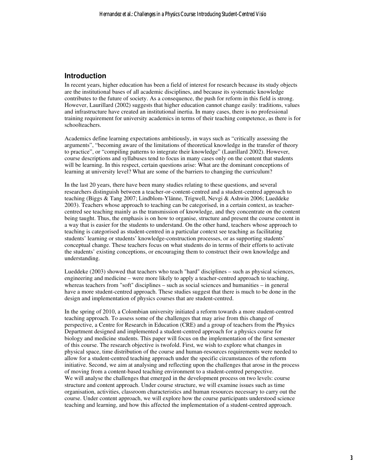#### **Introduction**

In recent years, higher education has been a field of interest for research because its study objects are the institutional bases of all academic disciplines, and because its systematic knowledge contributes to the future of society. As a consequence, the push for reform in this field is strong. However, Laurillard (2002) suggests that higher education cannot change easily: traditions, values and infrastructure have created an institutional inertia. In many cases, there is no professional training requirement for university academics in terms of their teaching competence, as there is for schoolteachers.

Academics define learning expectations ambitiously, in ways such as "critically assessing the arguments", "becoming aware of the limitations of theoretical knowledge in the transfer of theory to practice", or "compiling patterns to integrate their knowledge" (Laurillard 2002). However, course descriptions and syllabuses tend to focus in many cases only on the content that students will be learning. In this respect, certain questions arise: What are the dominant conceptions of learning at university level? What are some of the barriers to changing the curriculum?

In the last 20 years, there have been many studies relating to these questions, and several researchers distinguish between a teacher-or-content-centred and a student-centred approach to teaching (Biggs & Tang 2007; Lindblom-Ylänne, Trigwell, Nevgi & Ashwin 2006; Lueddeke 2003). Teachers whose approach to teaching can be categorised, in a certain context, as teachercentred see teaching mainly as the transmission of knowledge, and they concentrate on the content being taught. Thus, the emphasis is on how to organise, structure and present the course content in a way that is easier for the students to understand. On the other hand, teachers whose approach to teaching is categorised as student-centred in a particular context see teaching as facilitating students' learning or students' knowledge-construction processes, or as supporting students' conceptual change. These teachers focus on what students do in terms of their efforts to activate the students' existing conceptions, or encouraging them to construct their own knowledge and understanding.

Lueddeke (2003) showed that teachers who teach "hard" disciplines – such as physical sciences, engineering and medicine – were more likely to apply a teacher-centred approach to teaching, whereas teachers from "soft" disciplines – such as social sciences and humanities – in general have a more student-centred approach. These studies suggest that there is much to be done in the design and implementation of physics courses that are student-centred.

In the spring of 2010, a Colombian university initiated a reform towards a more student-centred teaching approach. To assess some of the challenges that may arise from this change of perspective, a Centre for Research in Education (CRE) and a group of teachers from the Physics Department designed and implemented a student-centred approach for a physics course for biology and medicine students. This paper will focus on the implementation of the first semester of this course. The research objective is twofold. First, we wish to explore what changes in physical space, time distribution of the course and human-resources requirements were needed to allow for a student-centred teaching approach under the specific circumstances of the reform initiative. Second, we aim at analysing and reflecting upon the challenges that arose in the process of moving from a content-based teaching environment to a student-centred perspective. We will analyse the challenges that emerged in the development process on two levels: course structure and content approach. Under course structure, we will examine issues such as time organisation, activities, classroom characteristics and human resources necessary to carry out the course. Under content approach, we will explore how the course participants understood science teaching and learning, and how this affected the implementation of a student-centred approach.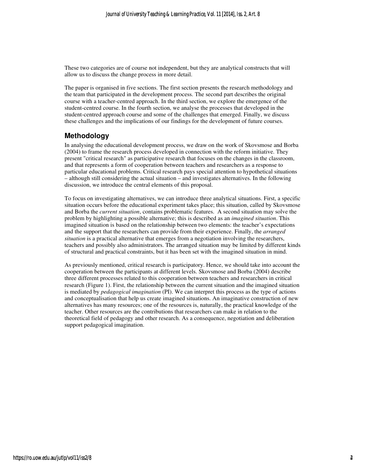These two categories are of course not independent, but they are analytical constructs that will allow us to discuss the change process in more detail.

The paper is organised in five sections. The first section presents the research methodology and the team that participated in the development process. The second part describes the original course with a teacher-centred approach. In the third section, we explore the emergence of the student-centred course. In the fourth section, we analyse the processes that developed in the student-centred approach course and some of the challenges that emerged. Finally, we discuss these challenges and the implications of our findings for the development of future courses.

#### **Methodology**

In analysing the educational development process, we draw on the work of Skovsmose and Borba (2004) to frame the research process developed in connection with the reform initiative. They present "critical research" as participative research that focuses on the changes in the classroom, and that represents a form of cooperation between teachers and researchers as a response to particular educational problems. Critical research pays special attention to hypothetical situations – although still considering the actual situation – and investigates alternatives. In the following discussion, we introduce the central elements of this proposal.

To focus on investigating alternatives, we can introduce three analytical situations. First, a specific situation occurs before the educational experiment takes place; this situation, called by Skovsmose and Borba the *current situation*, contains problematic features. A second situation may solve the problem by highlighting a possible alternative; this is described as an *imagined situation*. This imagined situation is based on the relationship between two elements: the teacher's expectations and the support that the researchers can provide from their experience. Finally, the *arranged situation* is a practical alternative that emerges from a negotiation involving the researchers, teachers and possibly also administrators. The arranged situation may be limited by different kinds of structural and practical constraints, but it has been set with the imagined situation in mind.

As previously mentioned, critical research is participatory. Hence, we should take into account the cooperation between the participants at different levels. Skovsmose and Borba (2004) describe three different processes related to this cooperation between teachers and researchers in critical research (Figure 1). First, the relationship between the current situation and the imagined situation is mediated by *pedagogical imagination* (PI). We can interpret this process as the type of actions and conceptualisation that help us create imagined situations. An imaginative construction of new alternatives has many resources; one of the resources is, naturally, the practical knowledge of the teacher. Other resources are the contributions that researchers can make in relation to the theoretical field of pedagogy and other research. As a consequence, negotiation and deliberation support pedagogical imagination.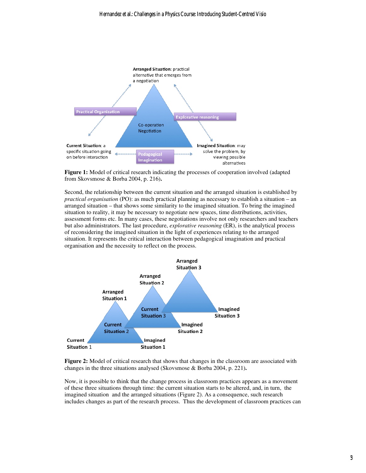

**Figure 1:** Model of critical research indicating the processes of cooperation involved (adapted from Skovsmose & Borba 2004, p. 216)**.** 

Second, the relationship between the current situation and the arranged situation is established by *practical organisation* (PO): as much practical planning as necessary to establish a situation – an arranged situation – that shows some similarity to the imagined situation. To bring the imagined situation to reality, it may be necessary to negotiate new spaces, time distributions, activities, assessment forms etc. In many cases, these negotiations involve not only researchers and teachers but also administrators. The last procedure, *explorative reasoning* (ER), is the analytical process of reconsidering the imagined situation in the light of experiences relating to the arranged situation. It represents the critical interaction between pedagogical imagination and practical organisation and the necessity to reflect on the process.



Figure 2: Model of critical research that shows that changes in the classroom are associated with changes in the three situations analysed (Skovsmose & Borba 2004, p. 221)**.** 

Now, it is possible to think that the change process in classroom practices appears as a movement of these three situations through time: the current situation starts to be altered, and, in turn, the imagined situation and the arranged situations (Figure 2). As a consequence, such research includes changes as part of the research process. Thus the development of classroom practices can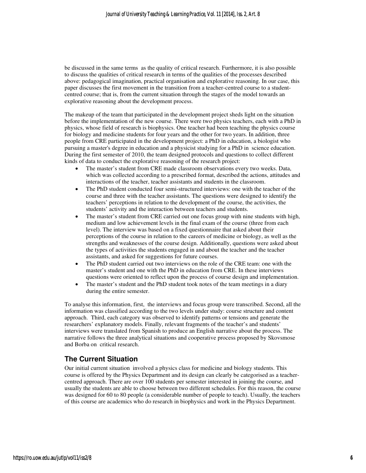be discussed in the same terms as the quality of critical research. Furthermore, it is also possible to discuss the qualities of critical research in terms of the qualities of the processes described above: pedagogical imagination, practical organisation and explorative reasoning. In our case, this paper discusses the first movement in the transition from a teacher-centred course to a studentcentred course; that is, from the current situation through the stages of the model towards an explorative reasoning about the development process.

The makeup of the team that participated in the development project sheds light on the situation before the implementation of the new course. There were two physics teachers, each with a PhD in physics, whose field of research is biophysics. One teacher had been teaching the physics course for biology and medicine students for four years and the other for two years. In addition, three people from CRE participated in the development project: a PhD in education, a biologist who pursuing a master's degree in education and a physicist studying for a PhD in science education. During the first semester of 2010, the team designed protocols and questions to collect different kinds of data to conduct the explorative reasoning of the research project:

- The master's student from CRE made classroom observations every two weeks. Data, which was collected according to a prescribed format, described the actions, attitudes and interactions of the teacher, teacher assistants and students in the classroom.
- The PhD student conducted four semi-structured interviews: one with the teacher of the course and three with the teacher assistants. The questions were designed to identify the teachers' perceptions in relation to the development of the course, the activities, the students' activity and the interaction between teachers and students.
- The master's student from CRE carried out one focus group with nine students with high, medium and low achievement levels in the final exam of the course (three from each level). The interview was based on a fixed questionnaire that asked about their perceptions of the course in relation to the careers of medicine or biology, as well as the strengths and weaknesses of the course design. Additionally, questions were asked about the types of activities the students engaged in and about the teacher and the teacher assistants, and asked for suggestions for future courses.
- The PhD student carried out two interviews on the role of the CRE team: one with the master's student and one with the PhD in education from CRE. In these interviews questions were oriented to reflect upon the process of course design and implementation.
- The master's student and the PhD student took notes of the team meetings in a diary during the entire semester.

To analyse this information, first, the interviews and focus group were transcribed. Second, all the information was classified according to the two levels under study: course structure and content approach. Third, each category was observed to identify patterns or tensions and generate the researchers' explanatory models. Finally, relevant fragments of the teacher's and students' interviews were translated from Spanish to produce an English narrative about the process. The narrative follows the three analytical situations and cooperative process proposed by Skovsmose and Borba on critical research.

### **The Current Situation**

Our initial current situation involved a physics class for medicine and biology students. This course is offered by the Physics Department and its design can clearly be categorised as a teachercentred approach. There are over 100 students per semester interested in joining the course, and usually the students are able to choose between two different schedules. For this reason, the course was designed for 60 to 80 people (a considerable number of people to teach). Usually, the teachers of this course are academics who do research in biophysics and work in the Physics Department.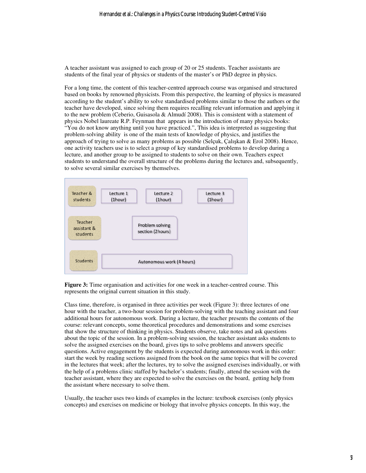A teacher assistant was assigned to each group of 20 or 25 students. Teacher assistants are students of the final year of physics or students of the master's or PhD degree in physics.

For a long time, the content of this teacher-centred approach course was organised and structured based on books by renowned physicists. From this perspective, the learning of physics is measured according to the student's ability to solve standardised problems similar to those the authors or the teacher have developed, since solving them requires recalling relevant information and applying it to the new problem (Ceberio, Guisasola & Almudí 2008). This is consistent with a statement of physics Nobel laureate R.P. Feynman that appears in the introduction of many physics books: "You do not know anything until you have practiced.", This idea is interpreted as suggesting that problem-solving ability is one of the main tests of knowledge of physics, and justifies the approach of trying to solve as many problems as possible (Selçuk, Çalışkan & Erol 2008). Hence, one activity teachers use is to select a group of key standardised problems to develop during a lecture, and another group to be assigned to students to solve on their own. Teachers expect students to understand the overall structure of the problems during the lectures and, subsequently, to solve several similar exercises by themselves.



**Figure 3:** Time organisation and activities for one week in a teacher-centred course. This represents the original current situation in this study.

Class time, therefore, is organised in three activities per week (Figure 3): three lectures of one hour with the teacher, a two-hour session for problem-solving with the teaching assistant and four additional hours for autonomous work. During a lecture, the teacher presents the contents of the course: relevant concepts, some theoretical procedures and demonstrations and some exercises that show the structure of thinking in physics. Students observe, take notes and ask questions about the topic of the session. In a problem-solving session, the teacher assistant asks students to solve the assigned exercises on the board, gives tips to solve problems and answers specific questions. Active engagement by the students is expected during autonomous work in this order: start the week by reading sections assigned from the book on the same topics that will be covered in the lectures that week; after the lectures, try to solve the assigned exercises individually, or with the help of a problems clinic staffed by bachelor's students; finally, attend the session with the teacher assistant, where they are expected to solve the exercises on the board, getting help from the assistant where necessary to solve them.

Usually, the teacher uses two kinds of examples in the lecture: textbook exercises (only physics concepts) and exercises on medicine or biology that involve physics concepts. In this way, the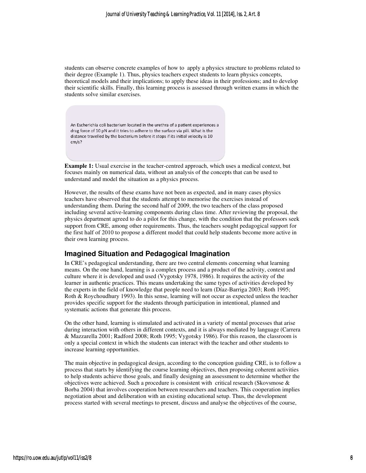students can observe concrete examples of how to apply a physics structure to problems related to their degree (Example 1). Thus, physics teachers expect students to learn physics concepts, theoretical models and their implications; to apply these ideas in their professions; and to develop their scientific skills. Finally, this learning process is assessed through written exams in which the students solve similar exercises.

An Escherichia coli bacterium located in the urethra of a patient experiences a drag force of 10 pN and it tries to adhere to the surface via pili. What is the distance travelled by the bacterium before it stops if its initial velocity is 10  $cm/s?$ 

**Example 1:** Usual exercise in the teacher-centred approach, which uses a medical context, but focuses mainly on numerical data, without an analysis of the concepts that can be used to understand and model the situation as a physics process.

However, the results of these exams have not been as expected, and in many cases physics teachers have observed that the students attempt to memorise the exercises instead of understanding them. During the second half of 2009, the two teachers of the class proposed including several active-learning components during class time. After reviewing the proposal, the physics department agreed to do a pilot for this change, with the condition that the professors seek support from CRE, among other requirements. Thus, the teachers sought pedagogical support for the first half of 2010 to propose a different model that could help students become more active in their own learning process.

#### **Imagined Situation and Pedagogical Imagination**

In CRE's pedagogical understanding, there are two central elements concerning what learning means. On the one hand, learning is a complex process and a product of the activity, context and culture where it is developed and used (Vygotsky 1978, 1986). It requires the activity of the learner in authentic practices. This means undertaking the same types of activities developed by the experts in the field of knowledge that people need to learn (Díaz-Barriga 2003; Roth 1995; Roth & Roychoudhury 1993). In this sense, learning will not occur as expected unless the teacher provides specific support for the students through participation in intentional, planned and systematic actions that generate this process.

On the other hand, learning is stimulated and activated in a variety of mental processes that arise during interaction with others in different contexts, and it is always mediated by language (Carrera & Mazzarella 2001; Radford 2008; Roth 1995; Vygotsky 1986). For this reason, the classroom is only a special context in which the students can interact with the teacher and other students to increase learning opportunities.

The main objective in pedagogical design, according to the conception guiding CRE, is to follow a process that starts by identifying the course learning objectives, then proposing coherent activities to help students achieve those goals, and finally designing an assessment to determine whether the objectives were achieved. Such a procedure is consistent with critical research (Skovsmose & Borba 2004) that involves cooperation between researchers and teachers. This cooperation implies negotiation about and deliberation with an existing educational setup. Thus, the development process started with several meetings to present, discuss and analyse the objectives of the course,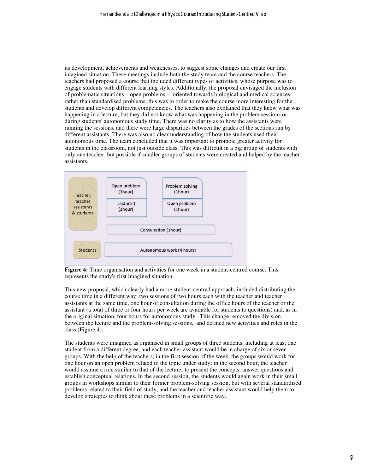its development, achievements and weaknesses, to suggest some changes and create our first imagined situation. These meetings include both the study team and the course teachers. The teachers had proposed a course that included different types of activities, whose purpose was to engage students with different learning styles. Additionally, the proposal envisaged the inclusion of problematic situations – open problems – oriented towards biological and medical sciences, rather than standardised problems; this was in order to make the course more interesting for the students and develop different competencies. The teachers also explained that they knew what was happening in a lecture, but they did not know what was happening in the problem sessions or during students' autonomous study time. There was no clarity as to how the assistants were running the sessions, and there were large disparities between the grades of the sections run by different assistants. There was also no clear understanding of how the students used their autonomous time. The team concluded that it was important to promote greater activity for students in the classroom, not just outside class. This was difficult in a big group of students with only one teacher, but possible if smaller groups of students were created and helped by the teacher assistants.



**Figure 4:** Time organisation and activities for one week in a student-centred course. This represents the study's first imagined situation.

This new proposal, which clearly had a more student-centred approach, included distributing the course time in a different way: two sessions of two hours each with the teacher and teacher assistants at the same time, one hour of consultation during the office hours of the teacher or the assistant (a total of three or four hours per week are available for students to questions) and, as in the original situation, four hours for autonomous study. This change removed the division between the lecture and the problem-solving sessions, and defined new activities and roles in the class (Figure 4).

The students were imagined as organised in small groups of three students, including at least one student from a different degree, and each teacher assistant would be in charge of six or seven groups. With the help of the teachers, in the first session of the week, the groups would work for one hour on an open problem related to the topic under study; in the second hour, the teacher would assume a role similar to that of the lecturer to present the concepts, answer questions and establish conceptual relations. In the second session, the students would again work in their small groups in workshops similar to their former problem-solving session, but with several standardised problems related to their field of study, and the teacher and teacher assistant would help them to develop strategies to think about these problems in a scientific way.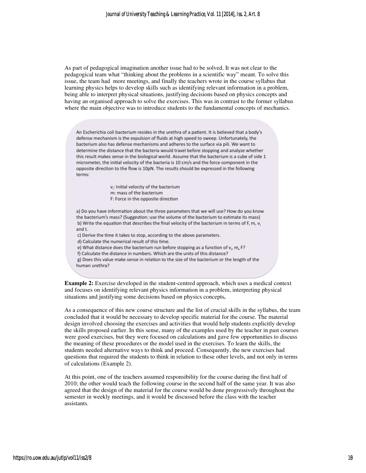As part of pedagogical imagination another issue had to be solved. It was not clear to the pedagogical team what "thinking about the problems in a scientific way" meant. To solve this issue, the team had more meetings, and finally the teachers wrote in the course syllabus that learning physics helps to develop skills such as identifying relevant information in a problem, being able to interpret physical situations, justifying decisions based on physics concepts and having an organised approach to solve the exercises. This was in contrast to the former syllabus where the main objective was to introduce students to the fundamental concepts of mechanics.

An Escherichia coli bacterium resides in the urethra of a patient. It is believed that a body's defense mechanism is the expulsion of fluids at high speed to sweep. Unfortunately, the bacterium also has defense mechanisms and adheres to the surface via pili. We want to determine the distance that the bacteria would travel before stopping and analyze whether this result makes sense in the biological world. Assume that the bacterium is a cube of side 1 micrometer, the initial velocity of the bacteria is 10 cm/s and the force component in the opposite direction to the flow is 10pN. The results should be expressed in the following terms:

> v<sub>i</sub>: Initial velocity of the bacterium m: mass of the bacterium F: Force in the opposite direction

a) Do you have information about the three parameters that we will use? How do you know the bacterium's mass? (Suggestion: use the volume of the bacterium to estimate its mass) b) Write the equation that describes the final velocity of the bacterium in terms of F, m,  $v_i$ and t.

c) Derive the time it takes to stop, according to the above parameters.

d) Calculate the numerical result of this time.

e) What distance does the bacterium run before stopping as a function of  $v_i$ , m<sub>1</sub>F?

f) Calculate the distance in numbers. Which are the units of this distance?

g) Does this value make sense in relation to the size of the bacterium or the length of the human urethra?

**Example 2:** Exercise developed in the student-centred approach, which uses a medical context and focuses on identifying relevant physics information in a problem, interpreting physical situations and justifying some decisions based on physics concepts**.** 

As a consequence of this new course structure and the list of crucial skills in the syllabus, the team concluded that it would be necessary to develop specific material for the course. The material design involved choosing the exercises and activities that would help students explicitly develop the skills proposed earlier. In this sense, many of the examples used by the teacher in past courses were good exercises, but they were focused on calculations and gave few opportunities to discuss the meaning of these procedures or the model used in the exercises. To learn the skills, the students needed alternative ways to think and proceed. Consequently, the new exercises had questions that required the students to think in relation to these other levels, and not only in terms of calculations (Example 2).

At this point, one of the teachers assumed responsibility for the course during the first half of 2010; the other would teach the following course in the second half of the same year. It was also agreed that the design of the material for the course would be done progressively throughout the semester in weekly meetings, and it would be discussed before the class with the teacher assistants.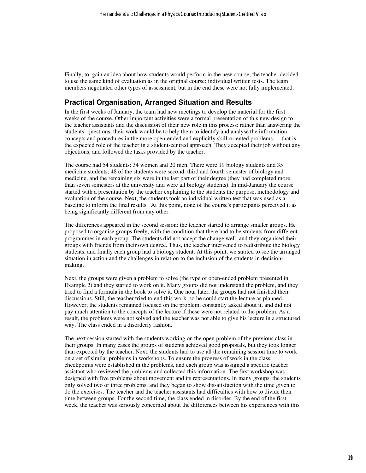Finally, to gain an idea about how students would perform in the new course, the teacher decided to use the same kind of evaluation as in the original course: individual written tests. The team members negotiated other types of assessment, but in the end these were not fully implemented.

#### **Practical Organisation, Arranged Situation and Results**

In the first weeks of January, the team had new meetings to develop the material for the first weeks of the course. Other important activities were a formal presentation of this new design to the teacher assistants and the discussion of their new role in this process: rather than answering the students' questions, their work would be to help them to identify and analyse the information, concepts and procedures in the more open-ended and explicitly skill-oriented problems – that is, the expected role of the teacher in a student-centred approach. They accepted their job without any objections, and followed the tasks provided by the teacher.

The course had 54 students: 34 women and 20 men. There were 19 biology students and 35 medicine students; 48 of the students were second, third and fourth semester of biology and medicine, and the remaining six were in the last part of their degree (they had completed more than seven semesters at the university and were all biology students). In mid-January the course started with a presentation by the teacher explaining to the students the purpose, methodology and evaluation of the course. Next, the students took an individual written test that was used as a baseline to inform the final results. At this point, none of the course's participants perceived it as being significantly different from any other.

The differences appeared in the second session: the teacher started to arrange smaller groups. He proposed to organise groups freely, with the condition that there had to be students from different programmes in each group. The students did not accept the change well, and they organised their groups with friends from their own degree. Thus, the teacher intervened to redistribute the biology students, and finally each group had a biology student. At this point, we started to see the arranged situation in action and the challenges in relation to the inclusion of the students in decisionmaking.

Next, the groups were given a problem to solve (the type of open-ended problem presented in Example 2) and they started to work on it. Many groups did not understand the problem, and they tried to find a formula in the book to solve it. One hour later, the groups had not finished their discussions. Still, the teacher tried to end this work so he could start the lecture as planned. However, the students remained focused on the problem, constantly asked about it, and did not pay much attention to the concepts of the lecture if these were not related to the problem. As a result, the problems were not solved and the teacher was not able to give his lecture in a structured way. The class ended in a disorderly fashion.

The next session started with the students working on the open problem of the previous class in their groups. In many cases the groups of students achieved good proposals, but they took longer than expected by the teacher. Next, the students had to use all the remaining session time to work on a set of similar problems in workshops. To ensure the progress of work in the class, checkpoints were established in the problems, and each group was assigned a specific teacher assistant who reviewed the problems and collected this information. The first workshop was designed with five problems about movement and its representations. In many groups, the students only solved two or three problems, and they began to show dissatisfaction with the time given to do the exercises. The teacher and the teacher assistants had difficulties with how to divide their time between groups. For the second time, the class ended in disorder. By the end of the first week, the teacher was seriously concerned about the differences between his experiences with this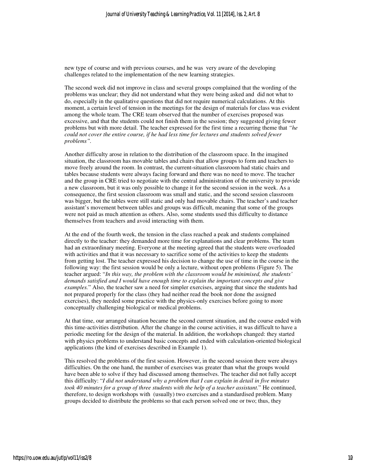new type of course and with previous courses, and he was very aware of the developing challenges related to the implementation of the new learning strategies.

The second week did not improve in class and several groups complained that the wording of the problems was unclear; they did not understand what they were being asked and did not what to do, especially in the qualitative questions that did not require numerical calculations. At this moment, a certain level of tension in the meetings for the design of materials for class was evident among the whole team. The CRE team observed that the number of exercises proposed was excessive, and that the students could not finish them in the session; they suggested giving fewer problems but with more detail. The teacher expressed for the first time a recurring theme that *"he could not cover the entire course, if he had less time for lectures and students solved fewer problems".* 

Another difficulty arose in relation to the distribution of the classroom space. In the imagined situation, the classroom has movable tables and chairs that allow groups to form and teachers to move freely around the room. In contrast, the current-situation classroom had static chairs and tables because students were always facing forward and there was no need to move. The teacher and the group in CRE tried to negotiate with the central administration of the university to provide a new classroom, but it was only possible to change it for the second session in the week. As a consequence, the first session classroom was small and static, and the second session classroom was bigger, but the tables were still static and only had movable chairs. The teacher's and teacher assistant's movement between tables and groups was difficult, meaning that some of the groups were not paid as much attention as others. Also, some students used this difficulty to distance themselves from teachers and avoid interacting with them.

At the end of the fourth week, the tension in the class reached a peak and students complained directly to the teacher: they demanded more time for explanations and clear problems. The team had an extraordinary meeting. Everyone at the meeting agreed that the students were overloaded with activities and that it was necessary to sacrifice some of the activities to keep the students from getting lost. The teacher expressed his decision to change the use of time in the course in the following way: the first session would be only a lecture, without open problems (Figure 5). The teacher argued: "*In this way, the problem with the classroom would be minimised, the students' demands satisfied and I would have enough time to explain the important concepts and give examples.*" Also, the teacher saw a need for simpler exercises, arguing that since the students had not prepared properly for the class (they had neither read the book nor done the assigned exercises), they needed some practice with the physics-only exercises before going to more conceptually challenging biological or medical problems.

At that time, our arranged situation became the second current situation, and the course ended with this time-activities distribution. After the change in the course activities, it was difficult to have a periodic meeting for the design of the material. In addition, the workshops changed: they started with physics problems to understand basic concepts and ended with calculation-oriented biological applications (the kind of exercises described in Example 1).

This resolved the problems of the first session. However, in the second session there were always difficulties. On the one hand, the number of exercises was greater than what the groups would have been able to solve if they had discussed among themselves. The teacher did not fully accept this difficulty: "*I did not understand why a problem that I can explain in detail in five minutes took 40 minutes for a group of three students with the help of a teacher assistant.*" He continued, therefore, to design workshops with (usually) two exercises and a standardised problem. Many groups decided to distribute the problems so that each person solved one or two; thus, they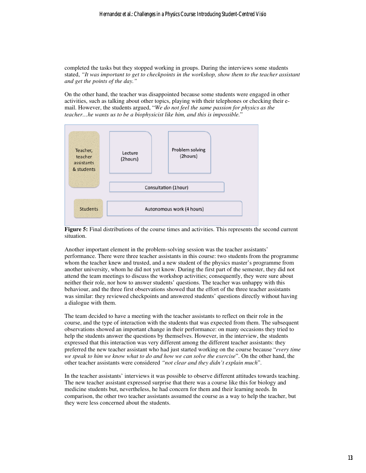completed the tasks but they stopped working in groups. During the interviews some students stated, *"It was important to get to checkpoints in the workshop, show them to the teacher assistant and get the points of the day."* 

On the other hand, the teacher was disappointed because some students were engaged in other activities, such as talking about other topics, playing with their telephones or checking their email. However, the students argued, "*We do not feel the same passion for physics as the teacher…he wants us to be a biophysicist like him, and this is impossible.*"



**Figure 5:** Final distributions of the course times and activities. This represents the second current situation.

Another important element in the problem-solving session was the teacher assistants' performance. There were three teacher assistants in this course: two students from the programme whom the teacher knew and trusted, and a new student of the physics master's programme from another university, whom he did not yet know. During the first part of the semester, they did not attend the team meetings to discuss the workshop activities; consequently, they were sure about neither their role, nor how to answer students' questions. The teacher was unhappy with this behaviour, and the three first observations showed that the effort of the three teacher assistants was similar: they reviewed checkpoints and answered students' questions directly without having a dialogue with them.

The team decided to have a meeting with the teacher assistants to reflect on their role in the course, and the type of interaction with the students that was expected from them. The subsequent observations showed an important change in their performance: on many occasions they tried to help the students answer the questions by themselves. However, in the interview, the students expressed that this interaction was very different among the different teacher assistants: they preferred the new teacher assistant who had just started working on the course because "*every time we speak to him we know what to do and how we can solve the exercise*". On the other hand, the other teacher assistants were considered *"not clear and they didn't explain much*".

In the teacher assistants' interviews it was possible to observe different attitudes towards teaching. The new teacher assistant expressed surprise that there was a course like this for biology and medicine students but, nevertheless, he had concern for them and their learning needs. In comparison, the other two teacher assistants assumed the course as a way to help the teacher, but they were less concerned about the students.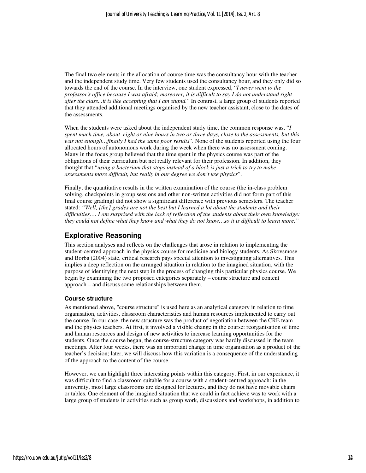The final two elements in the allocation of course time was the consultancy hour with the teacher and the independent study time. Very few students used the consultancy hour, and they only did so towards the end of the course. In the interview, one student expressed, "*I never went to the professor's office because I was afraid; moreover, it is difficult to say I do not understand right after the class...it is like accepting that I am stupid.*" In contrast, a large group of students reported that they attended additional meetings organised by the new teacher assistant, close to the dates of the assessments.

When the students were asked about the independent study time, the common response was, "*I spent much time, about eight or nine hours in two or three days, close to the assessments, but this was not enough…finally I had the same poor results*". None of the students reported using the four allocated hours of autonomous work during the week when there was no assessment coming. Many in the focus group believed that the time spent in the physics course was part of the obligations of their curriculum but not really relevant for their profession. In addition, they thought that "*using a bacterium that stops instead of a block is just a trick to try to make assessments more difficult, but really in our degree we don't use physics*".

Finally, the quantitative results in the written examination of the course (the in-class problem solving, checkpoints in group sessions and other non-written activities did not form part of this final course grading) did not show a significant difference with previous semesters. The teacher stated: *"Well, [the] grades are not the best but I learned a lot about the students and their difficulties…. I am surprised with the lack of reflection of the students about their own knowledge: they could not define what they know and what they do not know…so it is difficult to learn more."*

### **Explorative Reasoning**

This section analyses and reflects on the challenges that arose in relation to implementing the student-centred approach in the physics course for medicine and biology students. As Skovsmose and Borba (2004) state, critical research pays special attention to investigating alternatives. This implies a deep reflection on the arranged situation in relation to the imagined situation, with the purpose of identifying the next step in the process of changing this particular physics course. We begin by examining the two proposed categories separately – course structure and content approach – and discuss some relationships between them.

#### **Course structure**

As mentioned above, "course structure" is used here as an analytical category in relation to time organisation, activities, classroom characteristics and human resources implemented to carry out the course. In our case, the new structure was the product of negotiation between the CRE team and the physics teachers. At first, it involved a visible change in the course: reorganisation of time and human resources and design of new activities to increase learning opportunities for the students. Once the course began, the course-structure category was hardly discussed in the team meetings. After four weeks, there was an important change in time organisation as a product of the teacher's decision; later, we will discuss how this variation is a consequence of the understanding of the approach to the content of the course.

However, we can highlight three interesting points within this category. First, in our experience, it was difficult to find a classroom suitable for a course with a student-centred approach: in the university, most large classrooms are designed for lectures, and they do not have movable chairs or tables. One element of the imagined situation that we could in fact achieve was to work with a large group of students in activities such as group work, discussions and workshops, in addition to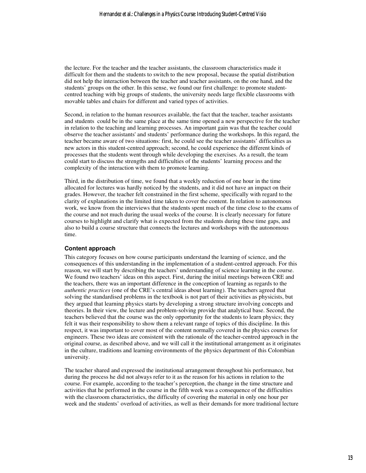the lecture. For the teacher and the teacher assistants, the classroom characteristics made it difficult for them and the students to switch to the new proposal, because the spatial distribution did not help the interaction between the teacher and teacher assistants, on the one hand, and the students' groups on the other. In this sense, we found our first challenge: to promote studentcentred teaching with big groups of students, the university needs large flexible classrooms with movable tables and chairs for different and varied types of activities.

Second, in relation to the human resources available, the fact that the teacher, teacher assistants and students could be in the same place at the same time opened a new perspective for the teacher in relation to the teaching and learning processes. An important gain was that the teacher could observe the teacher assistants' and students' performance during the workshops. In this regard, the teacher became aware of two situations: first, he could see the teacher assistants' difficulties as new actors in this student-centred approach; second, he could experience the different kinds of processes that the students went through while developing the exercises. As a result, the team could start to discuss the strengths and difficulties of the students' learning process and the complexity of the interaction with them to promote learning.

Third, in the distribution of time, we found that a weekly reduction of one hour in the time allocated for lectures was hardly noticed by the students, and it did not have an impact on their grades. However, the teacher felt constrained in the first scheme, specifically with regard to the clarity of explanations in the limited time taken to cover the content. In relation to autonomous work, we know from the interviews that the students spent much of the time close to the exams of the course and not much during the usual weeks of the course. It is clearly necessary for future courses to highlight and clarify what is expected from the students during these time gaps, and also to build a course structure that connects the lectures and workshops with the autonomous time.

#### **Content approach**

This category focuses on how course participants understand the learning of science, and the consequences of this understanding in the implementation of a student-centred approach. For this reason, we will start by describing the teachers' understanding of science learning in the course. We found two teachers' ideas on this aspect. First, during the initial meetings between CRE and the teachers, there was an important difference in the conception of learning as regards to the *authentic practices* (one of the CRE's central ideas about learning). The teachers agreed that solving the standardised problems in the textbook is not part of their activities as physicists, but they argued that learning physics starts by developing a strong structure involving concepts and theories. In their view, the lecture and problem-solving provide that analytical base. Second, the teachers believed that the course was the only opportunity for the students to learn physics; they felt it was their responsibility to show them a relevant range of topics of this discipline. In this respect, it was important to cover most of the content normally covered in the physics courses for engineers. These two ideas are consistent with the rationale of the teacher-centred approach in the original course, as described above, and we will call it the institutional arrangement as it originates in the culture, traditions and learning environments of the physics department of this Colombian university.

The teacher shared and expressed the institutional arrangement throughout his performance, but during the process he did not always refer to it as the reason for his actions in relation to the course. For example, according to the teacher's perception, the change in the time structure and activities that he performed in the course in the fifth week was a consequence of the difficulties with the classroom characteristics, the difficulty of covering the material in only one hour per week and the students' overload of activities, as well as their demands for more traditional lecture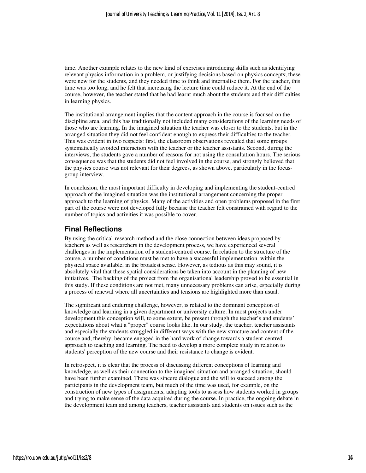time. Another example relates to the new kind of exercises introducing skills such as identifying relevant physics information in a problem, or justifying decisions based on physics concepts; these were new for the students, and they needed time to think and internalise them. For the teacher, this time was too long, and he felt that increasing the lecture time could reduce it. At the end of the course, however, the teacher stated that he had learnt much about the students and their difficulties in learning physics.

The institutional arrangement implies that the content approach in the course is focused on the discipline area, and this has traditionally not included many considerations of the learning needs of those who are learning. In the imagined situation the teacher was closer to the students, but in the arranged situation they did not feel confident enough to express their difficulties to the teacher. This was evident in two respects: first, the classroom observations revealed that some groups systematically avoided interaction with the teacher or the teacher assistants. Second, during the interviews, the students gave a number of reasons for not using the consultation hours. The serious consequence was that the students did not feel involved in the course, and strongly believed that the physics course was not relevant for their degrees, as shown above, particularly in the focusgroup interview.

In conclusion, the most important difficulty in developing and implementing the student-centred approach of the imagined situation was the institutional arrangement concerning the proper approach to the learning of physics. Many of the activities and open problems proposed in the first part of the course were not developed fully because the teacher felt constrained with regard to the number of topics and activities it was possible to cover.

#### **Final Reflections**

By using the critical-research method and the close connection between ideas proposed by teachers as well as researchers in the development process, we have experienced several challenges in the implementation of a student-centred course. In relation to the structure of the course, a number of conditions must be met to have a successful implementation within the physical space available, in the broadest sense. However, as tedious as this may sound, it is absolutely vital that these spatial considerations be taken into account in the planning of new initiatives. The backing of the project from the organisational leadership proved to be essential in this study. If these conditions are not met, many unnecessary problems can arise, especially during a process of renewal where all uncertainties and tensions are highlighted more than usual.

The significant and enduring challenge, however, is related to the dominant conception of knowledge and learning in a given department or university culture. In most projects under development this conception will, to some extent, be present through the teacher's and students' expectations about what a "proper" course looks like. In our study, the teacher, teacher assistants and especially the students struggled in different ways with the new structure and content of the course and, thereby, became engaged in the hard work of change towards a student-centred approach to teaching and learning. The need to develop a more complete study in relation to students' perception of the new course and their resistance to change is evident.

In retrospect, it is clear that the process of discussing different conceptions of learning and knowledge, as well as their connection to the imagined situation and arranged situation, should have been further examined. There was sincere dialogue and the will to succeed among the participants in the development team, but much of the time was used, for example, on the construction of new types of assignments, adapting tools to assess how students worked in groups and trying to make sense of the data acquired during the course. In practice, the ongoing debate in the development team and among teachers, teacher assistants and students on issues such as the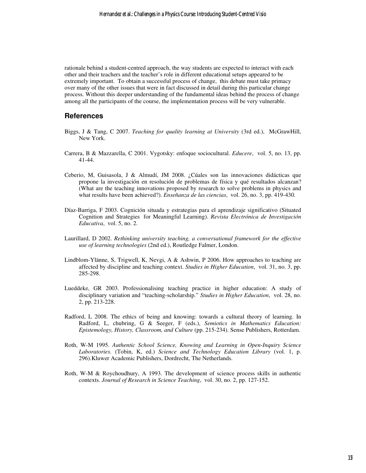rationale behind a student-centred approach, the way students are expected to interact with each other and their teachers and the teacher's role in different educational setups appeared to be extremely important. To obtain a successful process of change, this debate must take primacy over many of the other issues that were in fact discussed in detail during this particular change process. Without this deeper understanding of the fundamental ideas behind the process of change among all the participants of the course, the implementation process will be very vulnerable.

#### **References**

- Biggs, J & Tang, C 2007. *Teaching for quality learning at University* (3rd ed.), McGrawHill, New York.
- Carrera, B & Mazzarella, C 2001. Vygotsky: enfoque sociocultural. *Educere*, vol. 5, no. 13, pp. 41-44.
- Ceberio, M, Guisasola, J & Almudí, JM 2008. ¿Cúales son las innovaciones didácticas que propone la investigación en resolución de problemas de física y qué resultados alcanzan? (What are the teaching innovations proposed by research to solve problems in physics and what results have been achieved?). *Enseñanza de las ciencias*, vol. 26, no. 3, pp. 419-430.
- Díaz-Barriga, F 2003. Cognición situada y estrategias para el aprendizaje significativo (Situated Cognition and Strategies for Meaningful Learning). *Revista Electrónica de Investigación Educativa*, vol. 5, no. 2.
- Laurillard, D 2002. *Rethinking university teaching, a conversational framework for the effective use of learning technologies* (2nd ed.), Routledge Falmer, London.
- Lindblom-Ylänne, S, Trigwell, K, Nevgi, A & Ashwin, P 2006. How approaches to teaching are affected by discipline and teaching context. *Studies in Higher Education*, vol. 31, no. 3, pp. 285-298.
- Lueddeke, GR 2003. Professionalising teaching practice in higher education: A study of disciplinary variation and "teaching-scholarship." *Studies in Higher Education*, vol. 28, no. 2, pp. 213-228.
- Radford, L 2008. The ethics of being and knowing: towards a cultural theory of learning. In Radford, L, chubring, G & Seeger, F (eds.), *Semiotics in Mathematics Education: Epistemology, History, Classroom, and Culture* (pp. 215-234). Sense Publishers, Rotterdam.
- Roth, W-M 1995. *Authentic School Science, Knowing and Learning in Open-Inquiry Science Laboratories*. (Tobin, K, ed.) *Science and Technology Education Library* (vol. 1, p. 296).Kluwer Academic Publishers, Dordrecht, The Netherlands.
- Roth, W-M & Roychoudhury, A 1993. The development of science process skills in authentic contexts. *Journal of Research in Science Teaching*, vol. 30, no. 2, pp. 127-152.